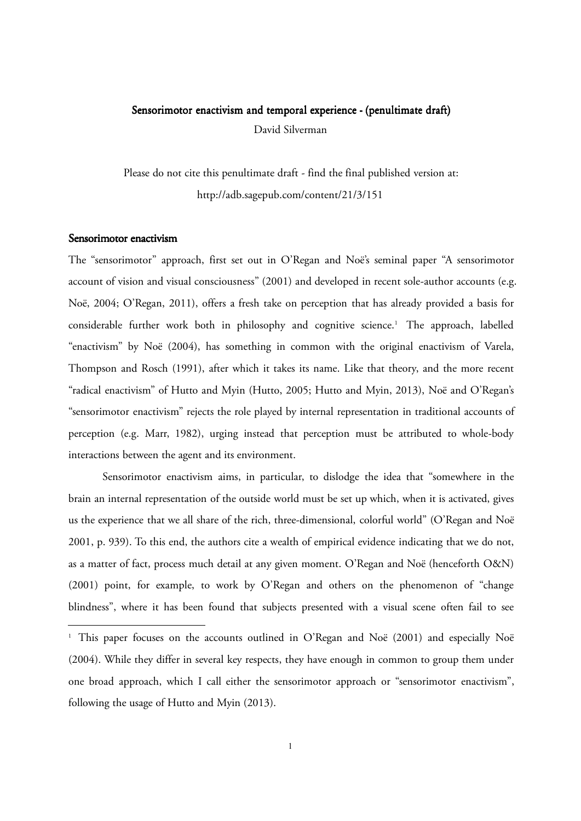# Sensorimotor enactivism and temporal experience - (penultimate draft) David Silverman

Please do not cite this penultimate draft - find the final published version at: http://adb.sagepub.com/content/21/3/151

#### Sensorimotor enactivism

The "sensorimotor" approach, first set out in O'Regan and Noë's seminal paper "A sensorimotor account of vision and visual consciousness" (2001) and developed in recent sole-author accounts (e.g. Noë, 2004; O'Regan, 2011), offers a fresh take on perception that has already provided a basis for considerable further work both in philosophy and cognitive science.<sup>1</sup> The approach, labelled "enactivism" by Noë (2004), has something in common with the original enactivism of Varela, Thompson and Rosch (1991), after which it takes its name. Like that theory, and the more recent "radical enactivism" of Hutto and Myin (Hutto, 2005; Hutto and Myin, 2013), Noë and O'Regan's "sensorimotor enactivism" rejects the role played by internal representation in traditional accounts of perception (e.g. Marr, 1982), urging instead that perception must be attributed to whole-body interactions between the agent and its environment.

Sensorimotor enactivism aims, in particular, to dislodge the idea that "somewhere in the brain an internal representation of the outside world must be set up which, when it is activated, gives us the experience that we all share of the rich, three-dimensional, colorful world" (O'Regan and Noë 2001, p. 939). To this end, the authors cite a wealth of empirical evidence indicating that we do not, as a matter of fact, process much detail at any given moment. O'Regan and Noë (henceforth O&N) (2001) point, for example, to work by O'Regan and others on the phenomenon of "change blindness", where it has been found that subjects presented with a visual scene often fail to see

<sup>1</sup> This paper focuses on the accounts outlined in O'Regan and Noë (2001) and especially Noë (2004). While they differ in several key respects, they have enough in common to group them under one broad approach, which I call either the sensorimotor approach or "sensorimotor enactivism", following the usage of Hutto and Myin (2013).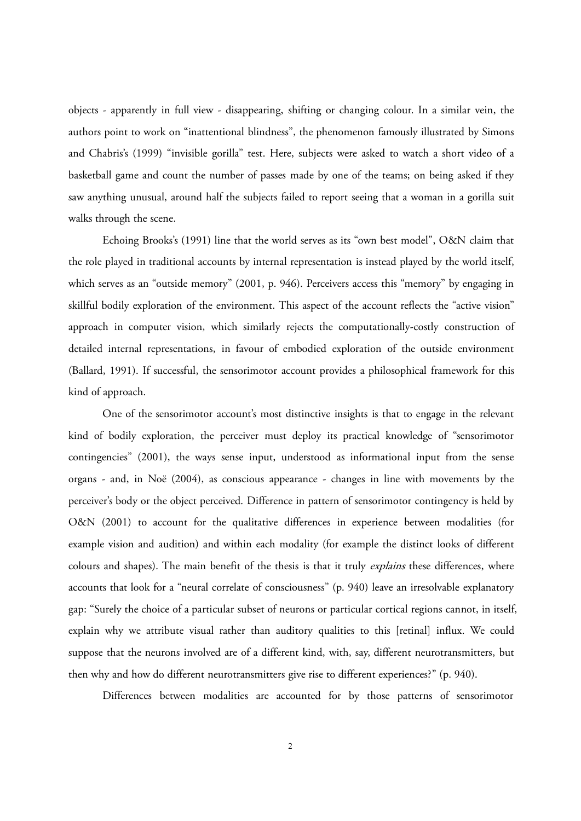objects - apparently in full view - disappearing, shifting or changing colour. In a similar vein, the authors point to work on "inattentional blindness", the phenomenon famously illustrated by Simons and Chabris's (1999) "invisible gorilla" test. Here, subjects were asked to watch a short video of a basketball game and count the number of passes made by one of the teams; on being asked if they saw anything unusual, around half the subjects failed to report seeing that a woman in a gorilla suit walks through the scene.

Echoing Brooks's (1991) line that the world serves as its "own best model", O&N claim that the role played in traditional accounts by internal representation is instead played by the world itself, which serves as an "outside memory" (2001, p. 946). Perceivers access this "memory" by engaging in skillful bodily exploration of the environment. This aspect of the account reflects the "active vision" approach in computer vision, which similarly rejects the computationally-costly construction of detailed internal representations, in favour of embodied exploration of the outside environment (Ballard, 1991). If successful, the sensorimotor account provides a philosophical framework for this kind of approach.

One of the sensorimotor account's most distinctive insights is that to engage in the relevant kind of bodily exploration, the perceiver must deploy its practical knowledge of "sensorimotor contingencies" (2001), the ways sense input, understood as informational input from the sense organs - and, in Noë (2004), as conscious appearance - changes in line with movements by the perceiver's body or the object perceived. Difference in pattern of sensorimotor contingency is held by O&N (2001) to account for the qualitative differences in experience between modalities (for example vision and audition) and within each modality (for example the distinct looks of different colours and shapes). The main benefit of the thesis is that it truly *explains* these differences, where accounts that look for a "neural correlate of consciousness" (p. 940) leave an irresolvable explanatory gap: "Surely the choice of a particular subset of neurons or particular cortical regions cannot, in itself, explain why we attribute visual rather than auditory qualities to this [retinal] influx. We could suppose that the neurons involved are of a different kind, with, say, different neurotransmitters, but then why and how do different neurotransmitters give rise to different experiences?" (p. 940).

Differences between modalities are accounted for by those patterns of sensorimotor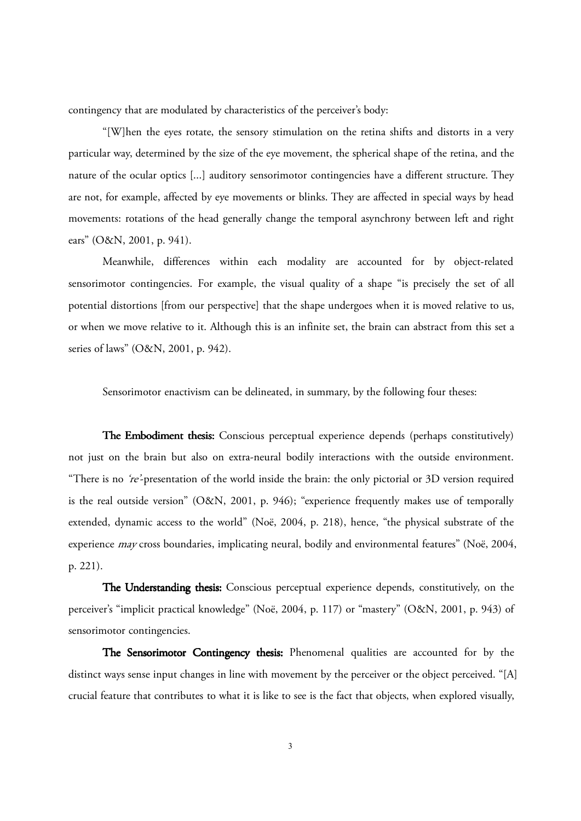contingency that are modulated by characteristics of the perceiver's body:

"[W]hen the eyes rotate, the sensory stimulation on the retina shifts and distorts in a very particular way, determined by the size of the eye movement, the spherical shape of the retina, and the nature of the ocular optics [...] auditory sensorimotor contingencies have a different structure. They are not, for example, affected by eye movements or blinks. They are affected in special ways by head movements: rotations of the head generally change the temporal asynchrony between left and right ears" (O&N, 2001, p. 941).

Meanwhile, differences within each modality are accounted for by object-related sensorimotor contingencies. For example, the visual quality of a shape "is precisely the set of all potential distortions [from our perspective] that the shape undergoes when it is moved relative to us, or when we move relative to it. Although this is an infinite set, the brain can abstract from this set a series of laws" (O&N, 2001, p. 942).

Sensorimotor enactivism can be delineated, in summary, by the following four theses:

The Embodiment thesis: Conscious perceptual experience depends (perhaps constitutively) not just on the brain but also on extra-neural bodily interactions with the outside environment. "There is no 're'-presentation of the world inside the brain: the only pictorial or 3D version required is the real outside version" (O&N, 2001, p. 946); "experience frequently makes use of temporally extended, dynamic access to the world" (Noë, 2004, p. 218), hence, "the physical substrate of the experience may cross boundaries, implicating neural, bodily and environmental features" (Noë, 2004, p. 221).

The Understanding thesis: Conscious perceptual experience depends, constitutively, on the perceiver's "implicit practical knowledge" (Noë, 2004, p. 117) or "mastery" (O&N, 2001, p. 943) of sensorimotor contingencies.

The Sensorimotor Contingency thesis: Phenomenal qualities are accounted for by the distinct ways sense input changes in line with movement by the perceiver or the object perceived. "[A] crucial feature that contributes to what it is like to see is the fact that objects, when explored visually,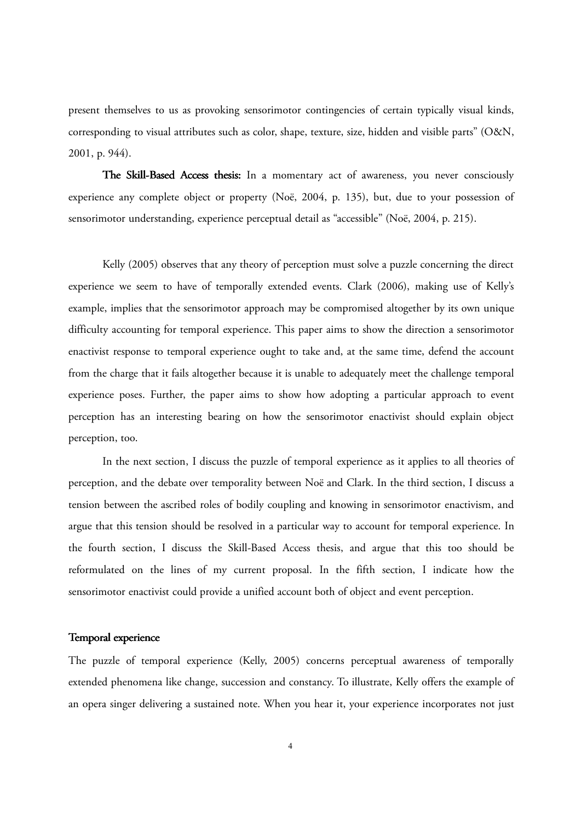present themselves to us as provoking sensorimotor contingencies of certain typically visual kinds, corresponding to visual attributes such as color, shape, texture, size, hidden and visible parts" (O&N, 2001, p. 944).

The Skill-Based Access thesis: In a momentary act of awareness, you never consciously experience any complete object or property (Noë, 2004, p. 135), but, due to your possession of sensorimotor understanding, experience perceptual detail as "accessible" (Noë, 2004, p. 215).

Kelly (2005) observes that any theory of perception must solve a puzzle concerning the direct experience we seem to have of temporally extended events. Clark (2006), making use of Kelly's example, implies that the sensorimotor approach may be compromised altogether by its own unique difficulty accounting for temporal experience. This paper aims to show the direction a sensorimotor enactivist response to temporal experience ought to take and, at the same time, defend the account from the charge that it fails altogether because it is unable to adequately meet the challenge temporal experience poses. Further, the paper aims to show how adopting a particular approach to event perception has an interesting bearing on how the sensorimotor enactivist should explain object perception, too.

In the next section, I discuss the puzzle of temporal experience as it applies to all theories of perception, and the debate over temporality between Noë and Clark. In the third section, I discuss a tension between the ascribed roles of bodily coupling and knowing in sensorimotor enactivism, and argue that this tension should be resolved in a particular way to account for temporal experience. In the fourth section, I discuss the Skill-Based Access thesis, and argue that this too should be reformulated on the lines of my current proposal. In the fifth section, I indicate how the sensorimotor enactivist could provide a unified account both of object and event perception.

## Temporal experience

The puzzle of temporal experience (Kelly, 2005) concerns perceptual awareness of temporally extended phenomena like change, succession and constancy. To illustrate, Kelly offers the example of an opera singer delivering a sustained note. When you hear it, your experience incorporates not just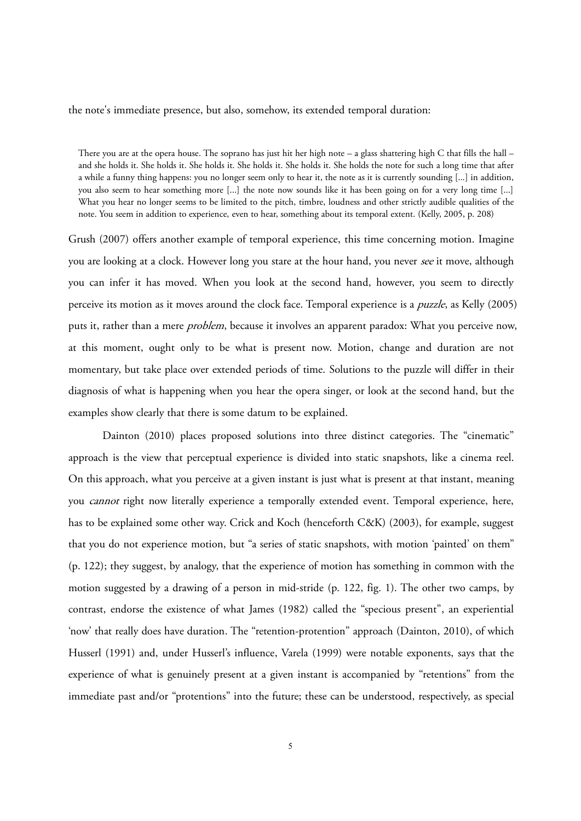#### the note's immediate presence, but also, somehow, its extended temporal duration:

There you are at the opera house. The soprano has just hit her high note – a glass shattering high C that fills the hall – and she holds it. She holds it. She holds it. She holds it. She holds it. She holds the note for such a long time that after a while a funny thing happens: you no longer seem only to hear it, the note as it is currently sounding [...] in addition, you also seem to hear something more [...] the note now sounds like it has been going on for a very long time [...] What you hear no longer seems to be limited to the pitch, timbre, loudness and other strictly audible qualities of the note. You seem in addition to experience, even to hear, something about its temporal extent. (Kelly, 2005, p. 208)

Grush (2007) offers another example of temporal experience, this time concerning motion. Imagine you are looking at a clock. However long you stare at the hour hand, you never see it move, although you can infer it has moved. When you look at the second hand, however, you seem to directly perceive its motion as it moves around the clock face. Temporal experience is a puzzle, as Kelly (2005) puts it, rather than a mere *problem*, because it involves an apparent paradox: What you perceive now, at this moment, ought only to be what is present now. Motion, change and duration are not momentary, but take place over extended periods of time. Solutions to the puzzle will differ in their diagnosis of what is happening when you hear the opera singer, or look at the second hand, but the examples show clearly that there is some datum to be explained.

Dainton (2010) places proposed solutions into three distinct categories. The "cinematic" approach is the view that perceptual experience is divided into static snapshots, like a cinema reel. On this approach, what you perceive at a given instant is just what is present at that instant, meaning you *cannot* right now literally experience a temporally extended event. Temporal experience, here, has to be explained some other way. Crick and Koch (henceforth C&K) (2003), for example, suggest that you do not experience motion, but "a series of static snapshots, with motion 'painted' on them" (p. 122); they suggest, by analogy, that the experience of motion has something in common with the motion suggested by a drawing of a person in mid-stride (p. 122, fig. 1). The other two camps, by contrast, endorse the existence of what James (1982) called the "specious present", an experiential 'now' that really does have duration. The "retention-protention" approach (Dainton, 2010), of which Husserl (1991) and, under Husserl's influence, Varela (1999) were notable exponents, says that the experience of what is genuinely present at a given instant is accompanied by "retentions" from the immediate past and/or "protentions" into the future; these can be understood, respectively, as special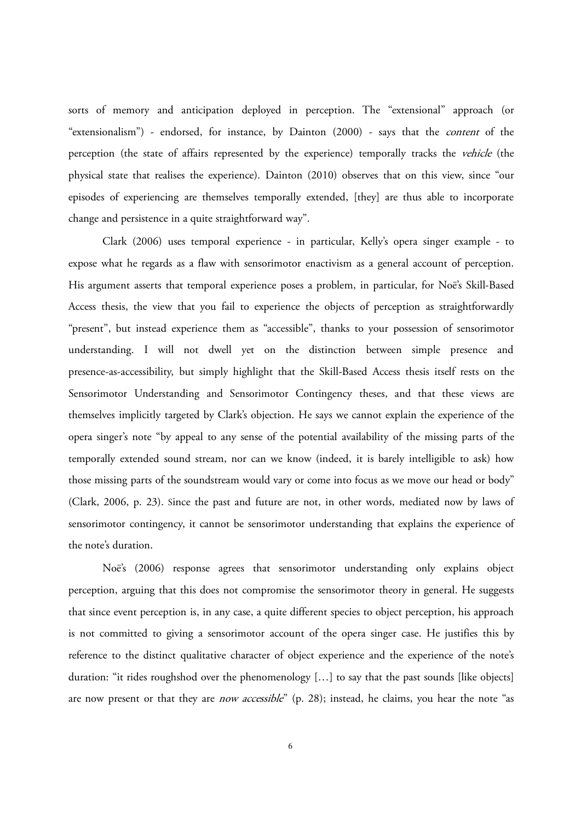sorts of memory and anticipation deployed in perception. The "extensional" approach (or "extensionalism") - endorsed, for instance, by Dainton (2000) - says that the content of the perception (the state of affairs represented by the experience) temporally tracks the vehicle (the physical state that realises the experience). Dainton (2010) observes that on this view, since "our episodes of experiencing are themselves temporally extended, [they] are thus able to incorporate change and persistence in a quite straightforward way".

Clark (2006) uses temporal experience - in particular, Kelly's opera singer example - to expose what he regards as a flaw with sensorimotor enactivism as a general account of perception. His argument asserts that temporal experience poses a problem, in particular, for Noë's Skill-Based Access thesis, the view that you fail to experience the objects of perception as straightforwardly "present", but instead experience them as "accessible", thanks to your possession of sensorimotor understanding. I will not dwell yet on the distinction between simple presence and presence-as-accessibility, but simply highlight that the Skill-Based Access thesis itself rests on the Sensorimotor Understanding and Sensorimotor Contingency theses, and that these views are themselves implicitly targeted by Clark's objection. He says we cannot explain the experience of the opera singer's note "by appeal to any sense of the potential availability of the missing parts of the temporally extended sound stream, nor can we know (indeed, it is barely intelligible to ask) how those missing parts of the soundstream would vary or come into focus as we move our head or body" (Clark, 2006, p. 23). Since the past and future are not, in other words, mediated now by laws of sensorimotor contingency, it cannot be sensorimotor understanding that explains the experience of the note's duration.

Noë's (2006) response agrees that sensorimotor understanding only explains object perception, arguing that this does not compromise the sensorimotor theory in general. He suggests that since event perception is, in any case, a quite different species to object perception, his approach is not committed to giving a sensorimotor account of the opera singer case. He justifies this by reference to the distinct qualitative character of object experience and the experience of the note's duration: "it rides roughshod over the phenomenology […] to say that the past sounds [like objects] are now present or that they are *now accessible*" (p. 28); instead, he claims, you hear the note "as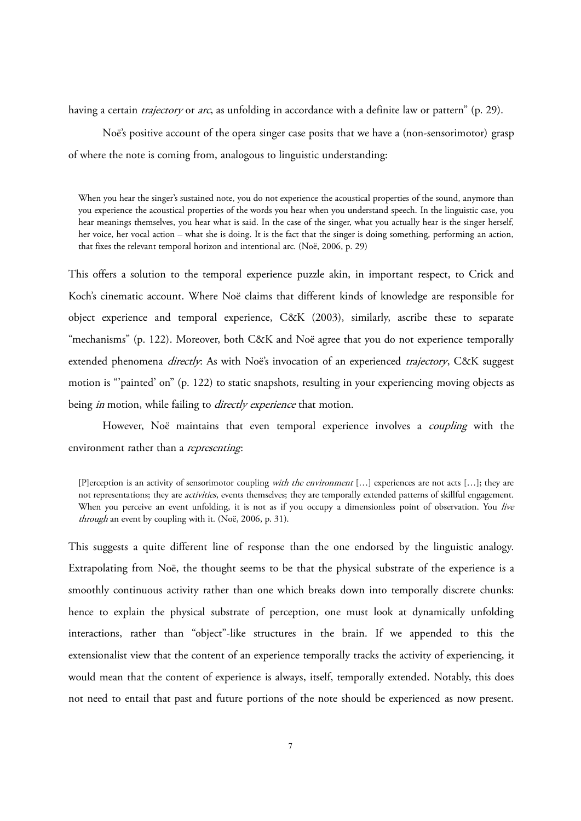having a certain *trajectory* or *arc*, as unfolding in accordance with a definite law or pattern" (p. 29).

Noë's positive account of the opera singer case posits that we have a (non-sensorimotor) grasp of where the note is coming from, analogous to linguistic understanding:

When you hear the singer's sustained note, you do not experience the acoustical properties of the sound, anymore than you experience the acoustical properties of the words you hear when you understand speech. In the linguistic case, you hear meanings themselves, you hear what is said. In the case of the singer, what you actually hear is the singer herself, her voice, her vocal action – what she is doing. It is the fact that the singer is doing something, performing an action, that fixes the relevant temporal horizon and intentional arc. (Noë, 2006, p. 29)

This offers a solution to the temporal experience puzzle akin, in important respect, to Crick and Koch's cinematic account. Where Noë claims that different kinds of knowledge are responsible for object experience and temporal experience, C&K (2003), similarly, ascribe these to separate "mechanisms" (p. 122). Moreover, both C&K and Noë agree that you do not experience temporally extended phenomena *directly*: As with Noë's invocation of an experienced *trajectory*, C&K suggest motion is "'painted' on" (p. 122) to static snapshots, resulting in your experiencing moving objects as being *in* motion, while failing to *directly experience* that motion.

However, Noë maintains that even temporal experience involves a *coupling* with the environment rather than a *representing*:

This suggests a quite different line of response than the one endorsed by the linguistic analogy. Extrapolating from Noë, the thought seems to be that the physical substrate of the experience is a smoothly continuous activity rather than one which breaks down into temporally discrete chunks: hence to explain the physical substrate of perception, one must look at dynamically unfolding interactions, rather than "object"-like structures in the brain. If we appended to this the extensionalist view that the content of an experience temporally tracks the activity of experiencing, it would mean that the content of experience is always, itself, temporally extended. Notably, this does not need to entail that past and future portions of the note should be experienced as now present.

<sup>[</sup>P]erception is an activity of sensorimotor coupling with the environment [...] experiences are not acts [...]; they are not representations; they are *activities*, events themselves; they are temporally extended patterns of skillful engagement. When you perceive an event unfolding, it is not as if you occupy a dimensionless point of observation. You live through an event by coupling with it. (Noë, 2006, p. 31).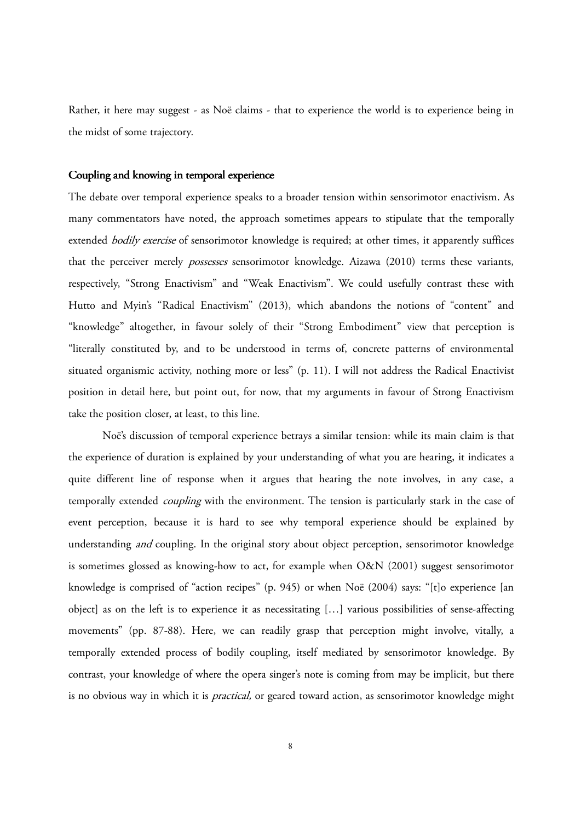Rather, it here may suggest - as Noë claims - that to experience the world is to experience being in the midst of some trajectory.

## Coupling and knowing in temporal experience

The debate over temporal experience speaks to a broader tension within sensorimotor enactivism. As many commentators have noted, the approach sometimes appears to stipulate that the temporally extended *bodily exercise* of sensorimotor knowledge is required; at other times, it apparently suffices that the perceiver merely possesses sensorimotor knowledge. Aizawa (2010) terms these variants, respectively, "Strong Enactivism" and "Weak Enactivism". We could usefully contrast these with Hutto and Myin's "Radical Enactivism" (2013), which abandons the notions of "content" and "knowledge" altogether, in favour solely of their "Strong Embodiment" view that perception is "literally constituted by, and to be understood in terms of, concrete patterns of environmental situated organismic activity, nothing more or less" (p. 11). I will not address the Radical Enactivist position in detail here, but point out, for now, that my arguments in favour of Strong Enactivism take the position closer, at least, to this line.

Noë's discussion of temporal experience betrays a similar tension: while its main claim is that the experience of duration is explained by your understanding of what you are hearing, it indicates a quite different line of response when it argues that hearing the note involves, in any case, a temporally extended *coupling* with the environment. The tension is particularly stark in the case of event perception, because it is hard to see why temporal experience should be explained by understanding *and* coupling. In the original story about object perception, sensorimotor knowledge is sometimes glossed as knowing-how to act, for example when O&N (2001) suggest sensorimotor knowledge is comprised of "action recipes" (p. 945) or when Noë (2004) says: "[t]o experience [an object] as on the left is to experience it as necessitating […] various possibilities of sense-affecting movements" (pp. 87-88). Here, we can readily grasp that perception might involve, vitally, a temporally extended process of bodily coupling, itself mediated by sensorimotor knowledge. By contrast, your knowledge of where the opera singer's note is coming from may be implicit, but there is no obvious way in which it is *practical*, or geared toward action, as sensorimotor knowledge might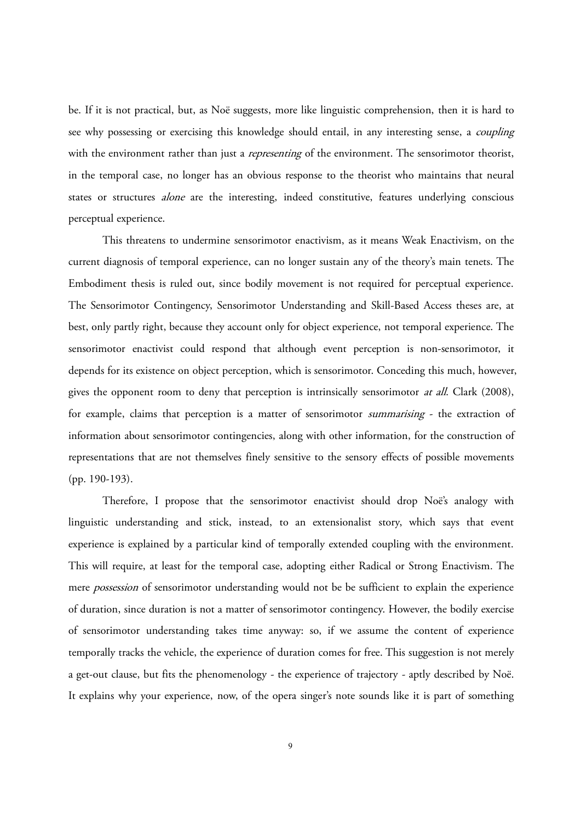be. If it is not practical, but, as Noë suggests, more like linguistic comprehension, then it is hard to see why possessing or exercising this knowledge should entail, in any interesting sense, a *coupling* with the environment rather than just a *representing* of the environment. The sensorimotor theorist, in the temporal case, no longer has an obvious response to the theorist who maintains that neural states or structures alone are the interesting, indeed constitutive, features underlying conscious perceptual experience.

This threatens to undermine sensorimotor enactivism, as it means Weak Enactivism, on the current diagnosis of temporal experience, can no longer sustain any of the theory's main tenets. The Embodiment thesis is ruled out, since bodily movement is not required for perceptual experience. The Sensorimotor Contingency, Sensorimotor Understanding and Skill-Based Access theses are, at best, only partly right, because they account only for object experience, not temporal experience. The sensorimotor enactivist could respond that although event perception is non-sensorimotor, it depends for its existence on object perception, which is sensorimotor. Conceding this much, however, gives the opponent room to deny that perception is intrinsically sensorimotor *at all*. Clark (2008), for example, claims that perception is a matter of sensorimotor summarising - the extraction of information about sensorimotor contingencies, along with other information, for the construction of representations that are not themselves finely sensitive to the sensory effects of possible movements (pp. 190-193).

Therefore, I propose that the sensorimotor enactivist should drop Noë's analogy with linguistic understanding and stick, instead, to an extensionalist story, which says that event experience is explained by a particular kind of temporally extended coupling with the environment. This will require, at least for the temporal case, adopting either Radical or Strong Enactivism. The mere *possession* of sensorimotor understanding would not be be sufficient to explain the experience of duration, since duration is not a matter of sensorimotor contingency. However, the bodily exercise of sensorimotor understanding takes time anyway: so, if we assume the content of experience temporally tracks the vehicle, the experience of duration comes for free. This suggestion is not merely a get-out clause, but fits the phenomenology - the experience of trajectory - aptly described by Noë. It explains why your experience, now, of the opera singer's note sounds like it is part of something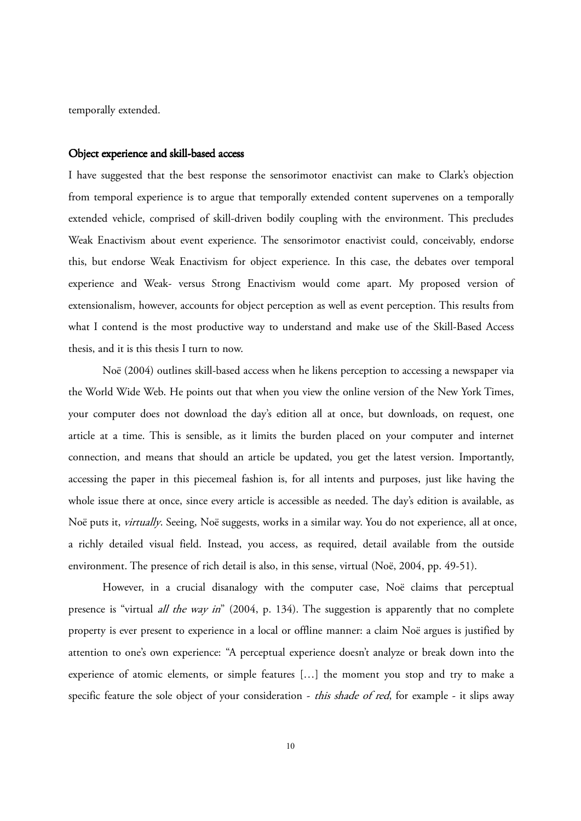temporally extended.

#### Object experience and skill-based access

I have suggested that the best response the sensorimotor enactivist can make to Clark's objection from temporal experience is to argue that temporally extended content supervenes on a temporally extended vehicle, comprised of skill-driven bodily coupling with the environment. This precludes Weak Enactivism about event experience. The sensorimotor enactivist could, conceivably, endorse this, but endorse Weak Enactivism for object experience. In this case, the debates over temporal experience and Weak- versus Strong Enactivism would come apart. My proposed version of extensionalism, however, accounts for object perception as well as event perception. This results from what I contend is the most productive way to understand and make use of the Skill-Based Access thesis, and it is this thesis I turn to now.

Noë (2004) outlines skill-based access when he likens perception to accessing a newspaper via the World Wide Web. He points out that when you view the online version of the New York Times, your computer does not download the day's edition all at once, but downloads, on request, one article at a time. This is sensible, as it limits the burden placed on your computer and internet connection, and means that should an article be updated, you get the latest version. Importantly, accessing the paper in this piecemeal fashion is, for all intents and purposes, just like having the whole issue there at once, since every article is accessible as needed. The day's edition is available, as Noë puts it, virtually. Seeing, Noë suggests, works in a similar way. You do not experience, all at once, a richly detailed visual field. Instead, you access, as required, detail available from the outside environment. The presence of rich detail is also, in this sense, virtual (Noë, 2004, pp. 49-51).

However, in a crucial disanalogy with the computer case, Noë claims that perceptual presence is "virtual *all the way in*" (2004, p. 134). The suggestion is apparently that no complete property is ever present to experience in a local or offline manner: a claim Noë argues is justified by attention to one's own experience: "A perceptual experience doesn't analyze or break down into the experience of atomic elements, or simple features […] the moment you stop and try to make a specific feature the sole object of your consideration - this shade of red, for example - it slips away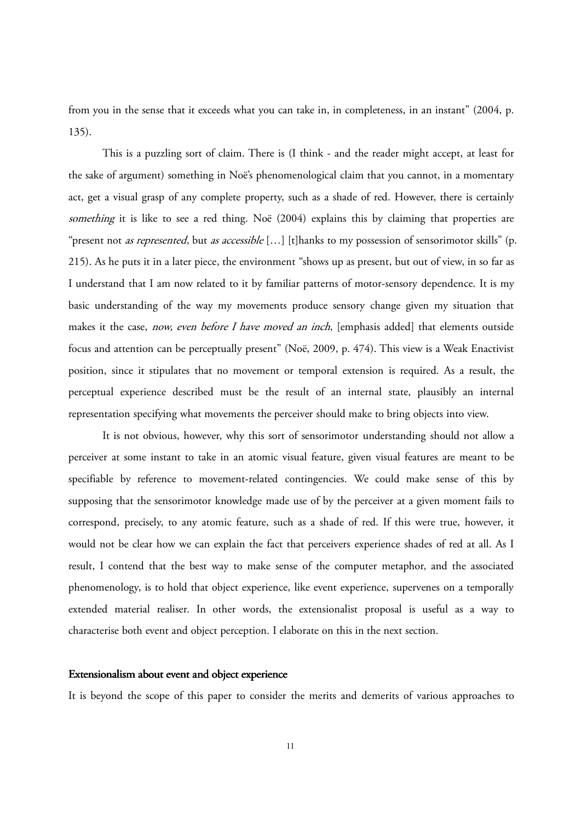from you in the sense that it exceeds what you can take in, in completeness, in an instant" (2004, p. 135).

This is a puzzling sort of claim. There is (I think - and the reader might accept, at least for the sake of argument) something in Noë's phenomenological claim that you cannot, in a momentary act, get a visual grasp of any complete property, such as a shade of red. However, there is certainly something it is like to see a red thing. Noë (2004) explains this by claiming that properties are "present not *as represented*, but *as accessible* [...] [t]hanks to my possession of sensorimotor skills" (p. 215). As he puts it in a later piece, the environment "shows up as present, but out of view, in so far as I understand that I am now related to it by familiar patterns of motor-sensory dependence. It is my basic understanding of the way my movements produce sensory change given my situation that makes it the case, now, even before I have moved an inch, [emphasis added] that elements outside focus and attention can be perceptually present" (Noë, 2009, p. 474). This view is a Weak Enactivist position, since it stipulates that no movement or temporal extension is required. As a result, the perceptual experience described must be the result of an internal state, plausibly an internal representation specifying what movements the perceiver should make to bring objects into view.

It is not obvious, however, why this sort of sensorimotor understanding should not allow a perceiver at some instant to take in an atomic visual feature, given visual features are meant to be specifiable by reference to movement-related contingencies. We could make sense of this by supposing that the sensorimotor knowledge made use of by the perceiver at a given moment fails to correspond, precisely, to any atomic feature, such as a shade of red. If this were true, however, it would not be clear how we can explain the fact that perceivers experience shades of red at all. As I result, I contend that the best way to make sense of the computer metaphor, and the associated phenomenology, is to hold that object experience, like event experience, supervenes on a temporally extended material realiser. In other words, the extensionalist proposal is useful as a way to characterise both event and object perception. I elaborate on this in the next section.

#### Extensionalism about event and object experience

It is beyond the scope of this paper to consider the merits and demerits of various approaches to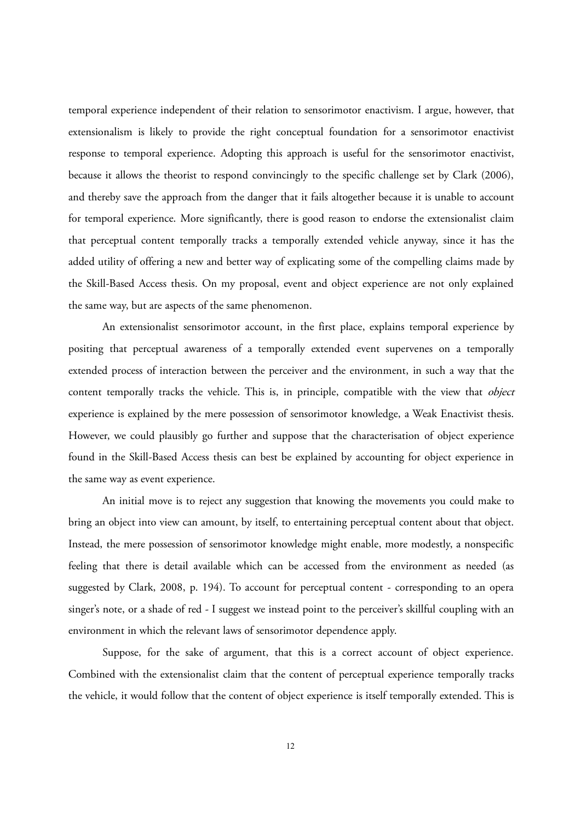temporal experience independent of their relation to sensorimotor enactivism. I argue, however, that extensionalism is likely to provide the right conceptual foundation for a sensorimotor enactivist response to temporal experience. Adopting this approach is useful for the sensorimotor enactivist, because it allows the theorist to respond convincingly to the specific challenge set by Clark (2006), and thereby save the approach from the danger that it fails altogether because it is unable to account for temporal experience. More significantly, there is good reason to endorse the extensionalist claim that perceptual content temporally tracks a temporally extended vehicle anyway, since it has the added utility of offering a new and better way of explicating some of the compelling claims made by the Skill-Based Access thesis. On my proposal, event and object experience are not only explained the same way, but are aspects of the same phenomenon.

An extensionalist sensorimotor account, in the first place, explains temporal experience by positing that perceptual awareness of a temporally extended event supervenes on a temporally extended process of interaction between the perceiver and the environment, in such a way that the content temporally tracks the vehicle. This is, in principle, compatible with the view that *object* experience is explained by the mere possession of sensorimotor knowledge, a Weak Enactivist thesis. However, we could plausibly go further and suppose that the characterisation of object experience found in the Skill-Based Access thesis can best be explained by accounting for object experience in the same way as event experience.

An initial move is to reject any suggestion that knowing the movements you could make to bring an object into view can amount, by itself, to entertaining perceptual content about that object. Instead, the mere possession of sensorimotor knowledge might enable, more modestly, a nonspecific feeling that there is detail available which can be accessed from the environment as needed (as suggested by Clark, 2008, p. 194). To account for perceptual content - corresponding to an opera singer's note, or a shade of red - I suggest we instead point to the perceiver's skillful coupling with an environment in which the relevant laws of sensorimotor dependence apply.

Suppose, for the sake of argument, that this is a correct account of object experience. Combined with the extensionalist claim that the content of perceptual experience temporally tracks the vehicle, it would follow that the content of object experience is itself temporally extended. This is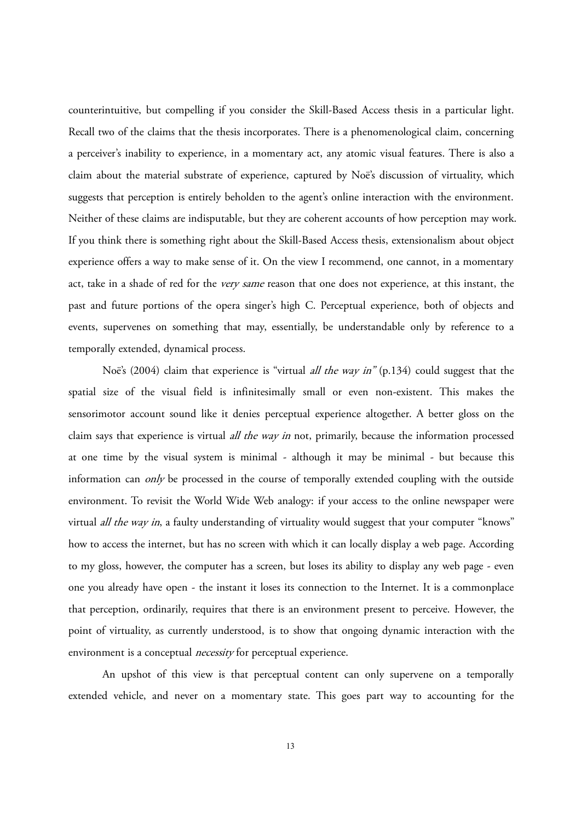counterintuitive, but compelling if you consider the Skill-Based Access thesis in a particular light. Recall two of the claims that the thesis incorporates. There is a phenomenological claim, concerning a perceiver's inability to experience, in a momentary act, any atomic visual features. There is also a claim about the material substrate of experience, captured by Noë's discussion of virtuality, which suggests that perception is entirely beholden to the agent's online interaction with the environment. Neither of these claims are indisputable, but they are coherent accounts of how perception may work. If you think there is something right about the Skill-Based Access thesis, extensionalism about object experience offers a way to make sense of it. On the view I recommend, one cannot, in a momentary act, take in a shade of red for the very same reason that one does not experience, at this instant, the past and future portions of the opera singer's high C. Perceptual experience, both of objects and events, supervenes on something that may, essentially, be understandable only by reference to a temporally extended, dynamical process.

Noë's (2004) claim that experience is "virtual *all the way in*" (p.134) could suggest that the spatial size of the visual field is infinitesimally small or even non-existent. This makes the sensorimotor account sound like it denies perceptual experience altogether. A better gloss on the claim says that experience is virtual *all the way in* not, primarily, because the information processed at one time by the visual system is minimal - although it may be minimal - but because this information can only be processed in the course of temporally extended coupling with the outside environment. To revisit the World Wide Web analogy: if your access to the online newspaper were virtual *all the way in*, a faulty understanding of virtuality would suggest that your computer "knows" how to access the internet, but has no screen with which it can locally display a web page. According to my gloss, however, the computer has a screen, but loses its ability to display any web page - even one you already have open - the instant it loses its connection to the Internet. It is a commonplace that perception, ordinarily, requires that there is an environment present to perceive. However, the point of virtuality, as currently understood, is to show that ongoing dynamic interaction with the environment is a conceptual *necessity* for perceptual experience.

An upshot of this view is that perceptual content can only supervene on a temporally extended vehicle, and never on a momentary state. This goes part way to accounting for the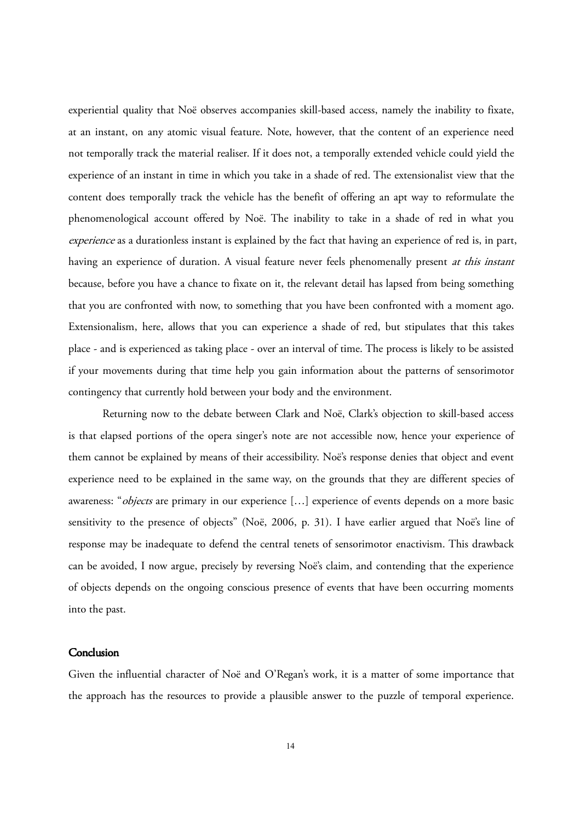experiential quality that Noë observes accompanies skill-based access, namely the inability to fixate, at an instant, on any atomic visual feature. Note, however, that the content of an experience need not temporally track the material realiser. If it does not, a temporally extended vehicle could yield the experience of an instant in time in which you take in a shade of red. The extensionalist view that the content does temporally track the vehicle has the benefit of offering an apt way to reformulate the phenomenological account offered by Noë. The inability to take in a shade of red in what you experience as a durationless instant is explained by the fact that having an experience of red is, in part, having an experience of duration. A visual feature never feels phenomenally present at this instant because, before you have a chance to fixate on it, the relevant detail has lapsed from being something that you are confronted with now, to something that you have been confronted with a moment ago. Extensionalism, here, allows that you can experience a shade of red, but stipulates that this takes place - and is experienced as taking place - over an interval of time. The process is likely to be assisted if your movements during that time help you gain information about the patterns of sensorimotor contingency that currently hold between your body and the environment.

Returning now to the debate between Clark and Noë, Clark's objection to skill-based access is that elapsed portions of the opera singer's note are not accessible now, hence your experience of them cannot be explained by means of their accessibility. Noë's response denies that object and event experience need to be explained in the same way, on the grounds that they are different species of awareness: "*objects* are primary in our experience [...] experience of events depends on a more basic sensitivity to the presence of objects" (Noë, 2006, p. 31). I have earlier argued that Noë's line of response may be inadequate to defend the central tenets of sensorimotor enactivism. This drawback can be avoided, I now argue, precisely by reversing Noë's claim, and contending that the experience of objects depends on the ongoing conscious presence of events that have been occurring moments into the past.

## **Conclusion**

Given the influential character of Noë and O'Regan's work, it is a matter of some importance that the approach has the resources to provide a plausible answer to the puzzle of temporal experience.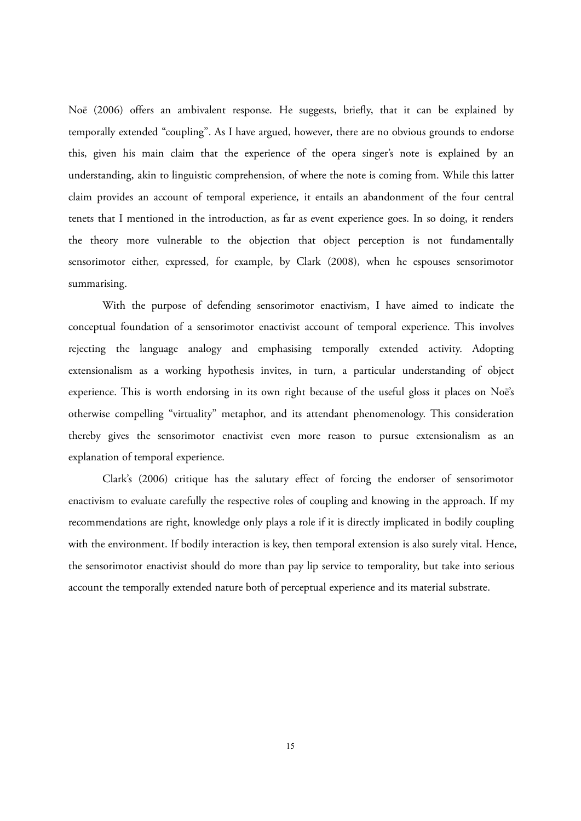Noë (2006) offers an ambivalent response. He suggests, briefly, that it can be explained by temporally extended "coupling". As I have argued, however, there are no obvious grounds to endorse this, given his main claim that the experience of the opera singer's note is explained by an understanding, akin to linguistic comprehension, of where the note is coming from. While this latter claim provides an account of temporal experience, it entails an abandonment of the four central tenets that I mentioned in the introduction, as far as event experience goes. In so doing, it renders the theory more vulnerable to the objection that object perception is not fundamentally sensorimotor either, expressed, for example, by Clark (2008), when he espouses sensorimotor summarising.

With the purpose of defending sensorimotor enactivism, I have aimed to indicate the conceptual foundation of a sensorimotor enactivist account of temporal experience. This involves rejecting the language analogy and emphasising temporally extended activity. Adopting extensionalism as a working hypothesis invites, in turn, a particular understanding of object experience. This is worth endorsing in its own right because of the useful gloss it places on Noë's otherwise compelling "virtuality" metaphor, and its attendant phenomenology. This consideration thereby gives the sensorimotor enactivist even more reason to pursue extensionalism as an explanation of temporal experience.

Clark's (2006) critique has the salutary effect of forcing the endorser of sensorimotor enactivism to evaluate carefully the respective roles of coupling and knowing in the approach. If my recommendations are right, knowledge only plays a role if it is directly implicated in bodily coupling with the environment. If bodily interaction is key, then temporal extension is also surely vital. Hence, the sensorimotor enactivist should do more than pay lip service to temporality, but take into serious account the temporally extended nature both of perceptual experience and its material substrate.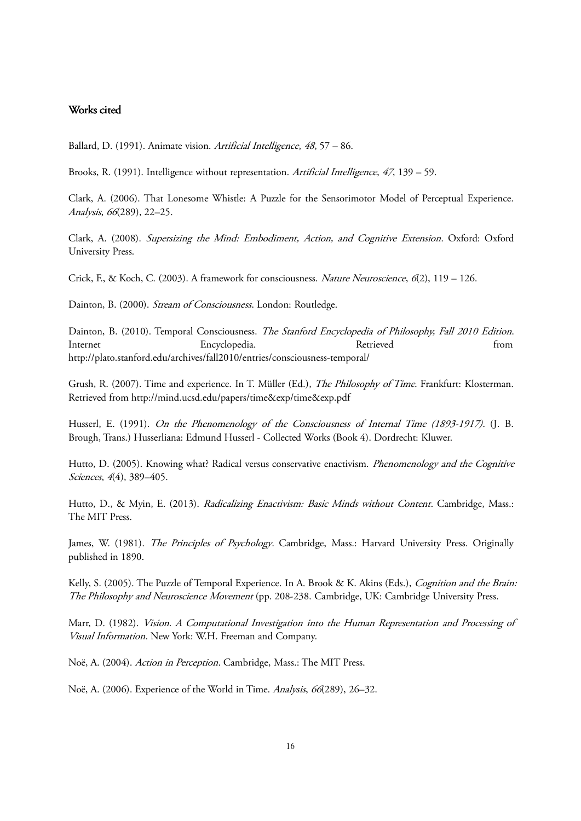## Works cited

Ballard, D. (1991). Animate vision. Artificial Intelligence, <sup>48</sup>, 57 – 86.

Brooks, R. (1991). Intelligence without representation. Artificial Intelligence, 47, 139 – 59.

Clark, A. (2006). That Lonesome Whistle: A Puzzle for the Sensorimotor Model of Perceptual Experience. Analysis, 66(289), 22–25.

Clark, A. (2008). Supersizing the Mind: Embodiment, Action, and Cognitive Extension. Oxford: Oxford University Press.

Crick, F., & Koch, C. (2003). A framework for consciousness. Nature Neuroscience,  $6(2)$ , 119 – 126.

Dainton, B. (2000). Stream of Consciousness. London: Routledge.

Dainton, B. (2010). Temporal Consciousness. The Stanford Encyclopedia of Philosophy, Fall 2010 Edition. Internet Encyclopedia. Retrieved from http://plato.stanford.edu/archives/fall2010/entries/consciousness-temporal/

Grush, R. (2007). Time and experience. In T. Müller (Ed.), *The Philosophy of Time*. Frankfurt: Klosterman. Retrieved from http://mind.ucsd.edu/papers/time&exp/time&exp.pdf

Husserl, E. (1991). On the Phenomenology of the Consciousness of Internal Time (1893-1917). (J. B. Brough, Trans.) Husserliana: Edmund Husserl - Collected Works (Book 4). Dordrecht: Kluwer.

Hutto, D. (2005). Knowing what? Radical versus conservative enactivism. *Phenomenology and the Cognitive* Sciences, 4(4), 389-405.

Hutto, D., & Myin, E. (2013). Radicalizing Enactivism: Basic Minds without Content. Cambridge, Mass.: The MIT Press.

James, W. (1981). The Principles of Psychology. Cambridge, Mass.: Harvard University Press. Originally published in 1890.

Kelly, S. (2005). The Puzzle of Temporal Experience. In A. Brook & K. Akins (Eds.), *Cognition and the Brain:* The Philosophy and Neuroscience Movement (pp. 208-238. Cambridge, UK: Cambridge University Press.

Marr, D. (1982). Vision. <sup>A</sup> Computational Investigation into the Human Representation and Processing of Visual Information. New York: W.H. Freeman and Company.

Noë, A. (2004). Action in Perception. Cambridge, Mass.: The MIT Press.

Noë, A. (2006). Experience of the World in Time. Analysis, 66(289), 26–32.